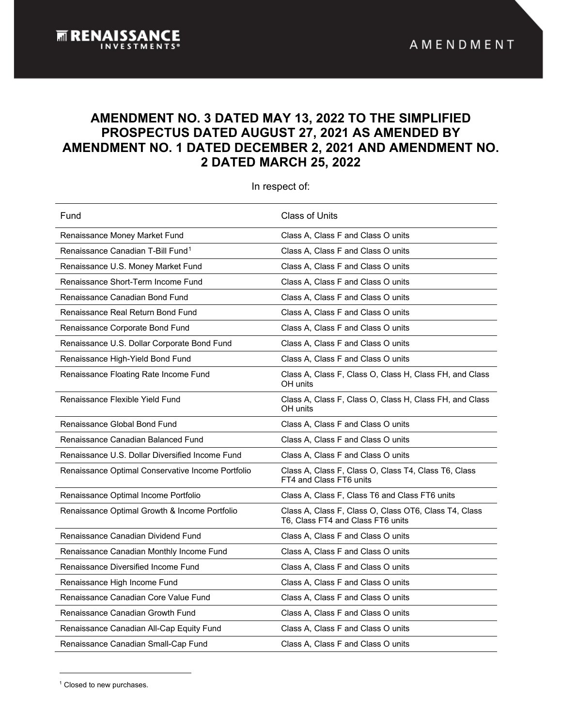# **AMENDMENT NO. 3 DATED MAY 13, 2022 TO THE SIMPLIFIED PROSPECTUS DATED AUGUST 27, 2021 AS AMENDED BY AMENDMENT NO. 1 DATED DECEMBER 2, 2021 AND AMENDMENT NO. 2 DATED MARCH 25, 2022**

<span id="page-0-1"></span>In respect of:

| Fund                                              | <b>Class of Units</b>                                                                      |
|---------------------------------------------------|--------------------------------------------------------------------------------------------|
| Renaissance Money Market Fund                     | Class A, Class F and Class O units                                                         |
| Renaissance Canadian T-Bill Fund <sup>1</sup>     | Class A, Class F and Class O units                                                         |
| Renaissance U.S. Money Market Fund                | Class A, Class F and Class O units                                                         |
| Renaissance Short-Term Income Fund                | Class A, Class F and Class O units                                                         |
| Renaissance Canadian Bond Fund                    | Class A, Class F and Class O units                                                         |
| Renaissance Real Return Bond Fund                 | Class A, Class F and Class O units                                                         |
| Renaissance Corporate Bond Fund                   | Class A, Class F and Class O units                                                         |
| Renaissance U.S. Dollar Corporate Bond Fund       | Class A, Class F and Class O units                                                         |
| Renaissance High-Yield Bond Fund                  | Class A, Class F and Class O units                                                         |
| Renaissance Floating Rate Income Fund             | Class A, Class F, Class O, Class H, Class FH, and Class<br>OH units                        |
| Renaissance Flexible Yield Fund                   | Class A, Class F, Class O, Class H, Class FH, and Class<br>OH units                        |
| Renaissance Global Bond Fund                      | Class A, Class F and Class O units                                                         |
| Renaissance Canadian Balanced Fund                | Class A, Class F and Class O units                                                         |
| Renaissance U.S. Dollar Diversified Income Fund   | Class A, Class F and Class O units                                                         |
| Renaissance Optimal Conservative Income Portfolio | Class A, Class F, Class O, Class T4, Class T6, Class<br>FT4 and Class FT6 units            |
| Renaissance Optimal Income Portfolio              | Class A, Class F, Class T6 and Class FT6 units                                             |
| Renaissance Optimal Growth & Income Portfolio     | Class A, Class F, Class O, Class OT6, Class T4, Class<br>T6, Class FT4 and Class FT6 units |
| Renaissance Canadian Dividend Fund                | Class A, Class F and Class O units                                                         |
| Renaissance Canadian Monthly Income Fund          | Class A, Class F and Class O units                                                         |
| Renaissance Diversified Income Fund               | Class A, Class F and Class O units                                                         |
| Renaissance High Income Fund                      | Class A, Class F and Class O units                                                         |
| Renaissance Canadian Core Value Fund              | Class A, Class F and Class O units                                                         |
| Renaissance Canadian Growth Fund                  | Class A, Class F and Class O units                                                         |
| Renaissance Canadian All-Cap Equity Fund          | Class A, Class F and Class O units                                                         |
| Renaissance Canadian Small-Cap Fund               | Class A, Class F and Class O units                                                         |

<span id="page-0-0"></span><sup>1</sup> Closed to new purchases.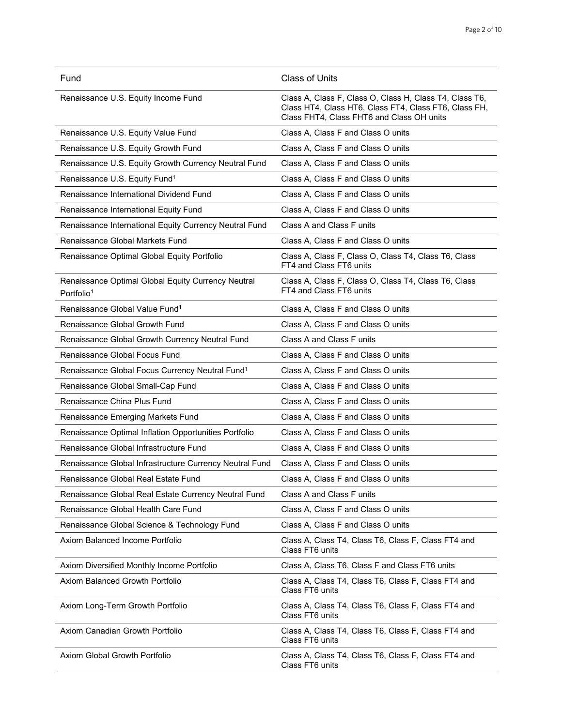| Fund                                                                         | <b>Class of Units</b>                                                                                                                                         |
|------------------------------------------------------------------------------|---------------------------------------------------------------------------------------------------------------------------------------------------------------|
| Renaissance U.S. Equity Income Fund                                          | Class A, Class F, Class O, Class H, Class T4, Class T6,<br>Class HT4, Class HT6, Class FT4, Class FT6, Class FH,<br>Class FHT4, Class FHT6 and Class OH units |
| Renaissance U.S. Equity Value Fund                                           | Class A, Class F and Class O units                                                                                                                            |
| Renaissance U.S. Equity Growth Fund                                          | Class A, Class F and Class O units                                                                                                                            |
| Renaissance U.S. Equity Growth Currency Neutral Fund                         | Class A, Class F and Class O units                                                                                                                            |
| Renaissance U.S. Equity Fund <sup>1</sup>                                    | Class A, Class F and Class O units                                                                                                                            |
| Renaissance International Dividend Fund                                      | Class A, Class F and Class O units                                                                                                                            |
| Renaissance International Equity Fund                                        | Class A, Class F and Class O units                                                                                                                            |
| Renaissance International Equity Currency Neutral Fund                       | Class A and Class F units                                                                                                                                     |
| <b>Renaissance Global Markets Fund</b>                                       | Class A, Class F and Class O units                                                                                                                            |
| Renaissance Optimal Global Equity Portfolio                                  | Class A, Class F, Class O, Class T4, Class T6, Class<br>FT4 and Class FT6 units                                                                               |
| Renaissance Optimal Global Equity Currency Neutral<br>Portfolio <sup>1</sup> | Class A, Class F, Class O, Class T4, Class T6, Class<br>FT4 and Class FT6 units                                                                               |
| Renaissance Global Value Fund <sup>1</sup>                                   | Class A, Class F and Class O units                                                                                                                            |
| Renaissance Global Growth Fund                                               | Class A, Class F and Class O units                                                                                                                            |
| Renaissance Global Growth Currency Neutral Fund                              | Class A and Class F units                                                                                                                                     |
| Renaissance Global Focus Fund                                                | Class A, Class F and Class O units                                                                                                                            |
| Renaissance Global Focus Currency Neutral Fund <sup>1</sup>                  | Class A, Class F and Class O units                                                                                                                            |
| Renaissance Global Small-Cap Fund                                            | Class A, Class F and Class O units                                                                                                                            |
| Renaissance China Plus Fund                                                  | Class A, Class F and Class O units                                                                                                                            |
| Renaissance Emerging Markets Fund                                            | Class A, Class F and Class O units                                                                                                                            |
| Renaissance Optimal Inflation Opportunities Portfolio                        | Class A, Class F and Class O units                                                                                                                            |
| Renaissance Global Infrastructure Fund                                       | Class A, Class F and Class O units                                                                                                                            |
| Renaissance Global Infrastructure Currency Neutral Fund                      | Class A, Class F and Class O units                                                                                                                            |
| Renaissance Global Real Estate Fund                                          | Class A, Class F and Class O units                                                                                                                            |
| Renaissance Global Real Estate Currency Neutral Fund                         | Class A and Class F units                                                                                                                                     |
| Renaissance Global Health Care Fund                                          | Class A, Class F and Class O units                                                                                                                            |
| Renaissance Global Science & Technology Fund                                 | Class A, Class F and Class O units                                                                                                                            |
| Axiom Balanced Income Portfolio                                              | Class A, Class T4, Class T6, Class F, Class FT4 and<br>Class FT6 units                                                                                        |
| Axiom Diversified Monthly Income Portfolio                                   | Class A, Class T6, Class F and Class FT6 units                                                                                                                |
| Axiom Balanced Growth Portfolio                                              | Class A, Class T4, Class T6, Class F, Class FT4 and<br>Class FT6 units                                                                                        |
| Axiom Long-Term Growth Portfolio                                             | Class A, Class T4, Class T6, Class F, Class FT4 and<br>Class FT6 units                                                                                        |
| Axiom Canadian Growth Portfolio                                              | Class A, Class T4, Class T6, Class F, Class FT4 and<br>Class FT6 units                                                                                        |
| Axiom Global Growth Portfolio                                                | Class A, Class T4, Class T6, Class F, Class FT4 and<br>Class FT6 units                                                                                        |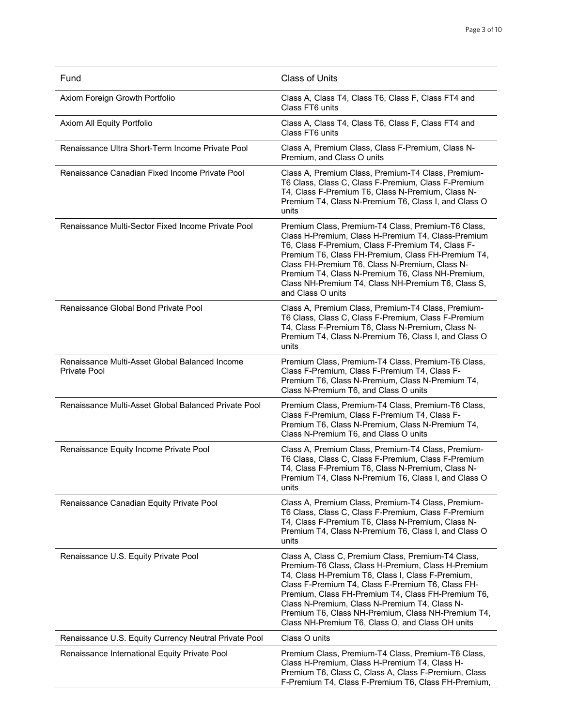| Fund                                                           | <b>Class of Units</b>                                                                                                                                                                                                                                                                                                                                                                                                               |
|----------------------------------------------------------------|-------------------------------------------------------------------------------------------------------------------------------------------------------------------------------------------------------------------------------------------------------------------------------------------------------------------------------------------------------------------------------------------------------------------------------------|
| Axiom Foreign Growth Portfolio                                 | Class A, Class T4, Class T6, Class F, Class FT4 and<br>Class FT6 units                                                                                                                                                                                                                                                                                                                                                              |
| Axiom All Equity Portfolio                                     | Class A, Class T4, Class T6, Class F, Class FT4 and<br>Class FT6 units                                                                                                                                                                                                                                                                                                                                                              |
| Renaissance Ultra Short-Term Income Private Pool               | Class A, Premium Class, Class F-Premium, Class N-<br>Premium, and Class O units                                                                                                                                                                                                                                                                                                                                                     |
| Renaissance Canadian Fixed Income Private Pool                 | Class A, Premium Class, Premium-T4 Class, Premium-<br>T6 Class, Class C, Class F-Premium, Class F-Premium<br>T4, Class F-Premium T6, Class N-Premium, Class N-<br>Premium T4, Class N-Premium T6, Class I, and Class O<br>units                                                                                                                                                                                                     |
| Renaissance Multi-Sector Fixed Income Private Pool             | Premium Class, Premium-T4 Class, Premium-T6 Class,<br>Class H-Premium, Class H-Premium T4, Class-Premium<br>T6, Class F-Premium, Class F-Premium T4, Class F-<br>Premium T6, Class FH-Premium, Class FH-Premium T4,<br>Class FH-Premium T6, Class N-Premium, Class N-<br>Premium T4, Class N-Premium T6, Class NH-Premium,<br>Class NH-Premium T4, Class NH-Premium T6, Class S,<br>and Class O units                               |
| Renaissance Global Bond Private Pool                           | Class A, Premium Class, Premium-T4 Class, Premium-<br>T6 Class, Class C, Class F-Premium, Class F-Premium<br>T4, Class F-Premium T6, Class N-Premium, Class N-<br>Premium T4, Class N-Premium T6, Class I, and Class O<br>units                                                                                                                                                                                                     |
| Renaissance Multi-Asset Global Balanced Income<br>Private Pool | Premium Class, Premium-T4 Class, Premium-T6 Class,<br>Class F-Premium, Class F-Premium T4, Class F-<br>Premium T6, Class N-Premium, Class N-Premium T4,<br>Class N-Premium T6, and Class O units                                                                                                                                                                                                                                    |
| Renaissance Multi-Asset Global Balanced Private Pool           | Premium Class, Premium-T4 Class, Premium-T6 Class,<br>Class F-Premium, Class F-Premium T4, Class F-<br>Premium T6, Class N-Premium, Class N-Premium T4,<br>Class N-Premium T6, and Class O units                                                                                                                                                                                                                                    |
| Renaissance Equity Income Private Pool                         | Class A, Premium Class, Premium-T4 Class, Premium-<br>T6 Class, Class C, Class F-Premium, Class F-Premium<br>T4, Class F-Premium T6, Class N-Premium, Class N-<br>Premium T4, Class N-Premium T6, Class I, and Class O<br>units                                                                                                                                                                                                     |
| Renaissance Canadian Equity Private Pool                       | Class A, Premium Class, Premium-T4 Class, Premium-<br>T6 Class, Class C, Class F-Premium, Class F-Premium<br>T4, Class F-Premium T6, Class N-Premium, Class N-<br>Premium T4, Class N-Premium T6, Class I, and Class O<br>units                                                                                                                                                                                                     |
| Renaissance U.S. Equity Private Pool                           | Class A, Class C, Premium Class, Premium-T4 Class,<br>Premium-T6 Class, Class H-Premium, Class H-Premium<br>T4, Class H-Premium T6, Class I, Class F-Premium,<br>Class F-Premium T4, Class F-Premium T6, Class FH-<br>Premium, Class FH-Premium T4, Class FH-Premium T6,<br>Class N-Premium, Class N-Premium T4, Class N-<br>Premium T6, Class NH-Premium, Class NH-Premium T4,<br>Class NH-Premium T6, Class O, and Class OH units |
| Renaissance U.S. Equity Currency Neutral Private Pool          | Class O units                                                                                                                                                                                                                                                                                                                                                                                                                       |
| Renaissance International Equity Private Pool                  | Premium Class, Premium-T4 Class, Premium-T6 Class,<br>Class H-Premium, Class H-Premium T4, Class H-<br>Premium T6, Class C, Class A, Class F-Premium, Class<br>F-Premium T4, Class F-Premium T6, Class FH-Premium,                                                                                                                                                                                                                  |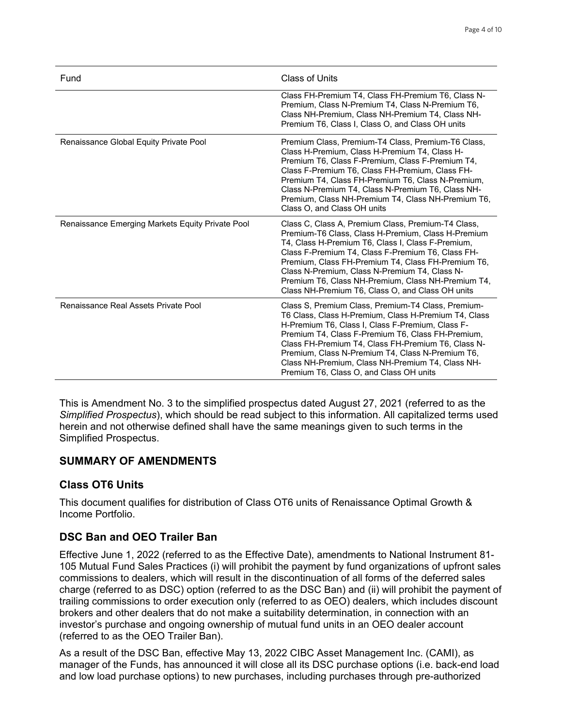| Fund                                             | Class of Units                                                                                                                                                                                                                                                                                                                                                                                                                      |
|--------------------------------------------------|-------------------------------------------------------------------------------------------------------------------------------------------------------------------------------------------------------------------------------------------------------------------------------------------------------------------------------------------------------------------------------------------------------------------------------------|
|                                                  | Class FH-Premium T4, Class FH-Premium T6, Class N-<br>Premium, Class N-Premium T4, Class N-Premium T6,<br>Class NH-Premium, Class NH-Premium T4, Class NH-<br>Premium T6, Class I, Class O, and Class OH units                                                                                                                                                                                                                      |
| Renaissance Global Equity Private Pool           | Premium Class, Premium-T4 Class, Premium-T6 Class,<br>Class H-Premium, Class H-Premium T4, Class H-<br>Premium T6, Class F-Premium, Class F-Premium T4,<br>Class F-Premium T6, Class FH-Premium, Class FH-<br>Premium T4, Class FH-Premium T6, Class N-Premium,<br>Class N-Premium T4, Class N-Premium T6, Class NH-<br>Premium, Class NH-Premium T4, Class NH-Premium T6,<br>Class O, and Class OH units                           |
| Renaissance Emerging Markets Equity Private Pool | Class C, Class A, Premium Class, Premium-T4 Class,<br>Premium-T6 Class, Class H-Premium, Class H-Premium<br>T4, Class H-Premium T6, Class I, Class F-Premium,<br>Class F-Premium T4, Class F-Premium T6, Class FH-<br>Premium, Class FH-Premium T4, Class FH-Premium T6,<br>Class N-Premium, Class N-Premium T4, Class N-<br>Premium T6, Class NH-Premium, Class NH-Premium T4,<br>Class NH-Premium T6, Class O, and Class OH units |
| Renaissance Real Assets Private Pool             | Class S, Premium Class, Premium-T4 Class, Premium-<br>T6 Class, Class H-Premium, Class H-Premium T4, Class<br>H-Premium T6, Class I, Class F-Premium, Class F-<br>Premium T4, Class F-Premium T6, Class FH-Premium,<br>Class FH-Premium T4, Class FH-Premium T6, Class N-<br>Premium, Class N-Premium T4, Class N-Premium T6,<br>Class NH-Premium, Class NH-Premium T4, Class NH-<br>Premium T6, Class O, and Class OH units        |

This is Amendment No. 3 to the simplified prospectus dated August 27, 2021 (referred to as the *Simplified Prospectus*), which should be read subject to this information. All capitalized terms used herein and not otherwise defined shall have the same meanings given to such terms in the Simplified Prospectus.

# **SUMMARY OF AMENDMENTS**

# **Class OT6 Units**

This document qualifies for distribution of Class OT6 units of Renaissance Optimal Growth & Income Portfolio.

# **DSC Ban and OEO Trailer Ban**

Effective June 1, 2022 (referred to as the Effective Date), amendments to National Instrument 81- 105 Mutual Fund Sales Practices (i) will prohibit the payment by fund organizations of upfront sales commissions to dealers, which will result in the discontinuation of all forms of the deferred sales charge (referred to as DSC) option (referred to as the DSC Ban) and (ii) will prohibit the payment of trailing commissions to order execution only (referred to as OEO) dealers, which includes discount brokers and other dealers that do not make a suitability determination, in connection with an investor's purchase and ongoing ownership of mutual fund units in an OEO dealer account (referred to as the OEO Trailer Ban).

As a result of the DSC Ban, effective May 13, 2022 CIBC Asset Management Inc. (CAMI), as manager of the Funds, has announced it will close all its DSC purchase options (i.e. back-end load and low load purchase options) to new purchases, including purchases through pre-authorized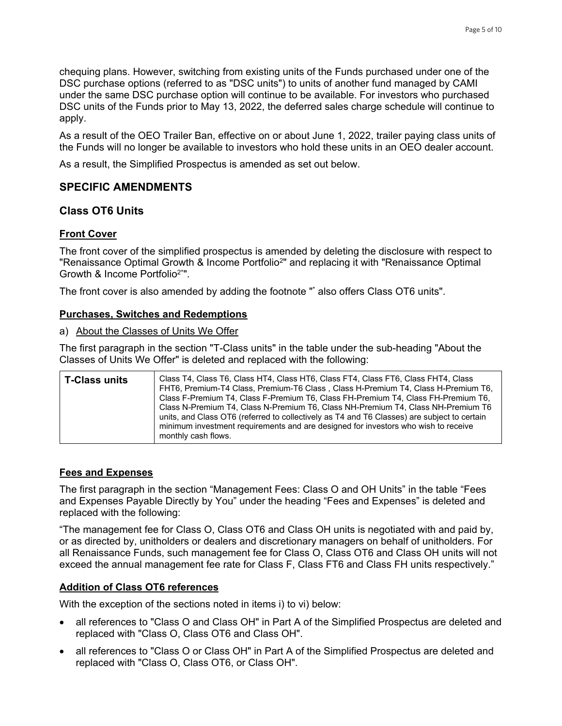chequing plans. However, switching from existing units of the Funds purchased under one of the DSC purchase options (referred to as "DSC units") to units of another fund managed by CAMI under the same DSC purchase option will continue to be available. For investors who purchased DSC units of the Funds prior to May 13, 2022, the deferred sales charge schedule will continue to apply.

As a result of the OEO Trailer Ban, effective on or about June 1, 2022, trailer paying class units of the Funds will no longer be available to investors who hold these units in an OEO dealer account.

As a result, the Simplified Prospectus is amended as set out below.

# **SPECIFIC AMENDMENTS**

## **Class OT6 Units**

## **Front Cover**

The front cover of the simplified prospectus is amended by deleting the disclosure with respect to "Renaissance Optimal Growth & Income Portfolio<sup>2</sup>" and replacing it with "Renaissance Optimal Growth & Income Portfolio2\*".

The front cover is also amended by adding the footnote "\* also offers Class OT6 units".

#### **Purchases, Switches and Redemptions**

#### a) About the Classes of Units We Offer

The first paragraph in the section "T-Class units" in the table under the sub-heading "About the Classes of Units We Offer" is deleted and replaced with the following:

| <b>T-Class units</b> | Class T4, Class T6, Class HT4, Class HT6, Class FT4, Class FT6, Class FHT4, Class<br>FHT6, Premium-T4 Class, Premium-T6 Class, Class H-Premium T4, Class H-Premium T6,<br>Class F-Premium T4, Class F-Premium T6, Class FH-Premium T4, Class FH-Premium T6,<br>Class N-Premium T4, Class N-Premium T6, Class NH-Premium T4, Class NH-Premium T6<br>units, and Class OT6 (referred to collectively as T4 and T6 Classes) are subject to certain<br>minimum investment requirements and are designed for investors who wish to receive<br>monthly cash flows. |
|----------------------|-------------------------------------------------------------------------------------------------------------------------------------------------------------------------------------------------------------------------------------------------------------------------------------------------------------------------------------------------------------------------------------------------------------------------------------------------------------------------------------------------------------------------------------------------------------|
|----------------------|-------------------------------------------------------------------------------------------------------------------------------------------------------------------------------------------------------------------------------------------------------------------------------------------------------------------------------------------------------------------------------------------------------------------------------------------------------------------------------------------------------------------------------------------------------------|

#### **Fees and Expenses**

The first paragraph in the section "Management Fees: Class O and OH Units" in the table "Fees and Expenses Payable Directly by You" under the heading "Fees and Expenses" is deleted and replaced with the following:

"The management fee for Class O, Class OT6 and Class OH units is negotiated with and paid by, or as directed by, unitholders or dealers and discretionary managers on behalf of unitholders. For all Renaissance Funds, such management fee for Class O, Class OT6 and Class OH units will not exceed the annual management fee rate for Class F, Class FT6 and Class FH units respectively."

#### **Addition of Class OT6 references**

With the exception of the sections noted in items i) to vi) below:

- all references to "Class O and Class OH" in Part A of the Simplified Prospectus are deleted and replaced with "Class O, Class OT6 and Class OH".
- all references to "Class O or Class OH" in Part A of the Simplified Prospectus are deleted and replaced with "Class O, Class OT6, or Class OH".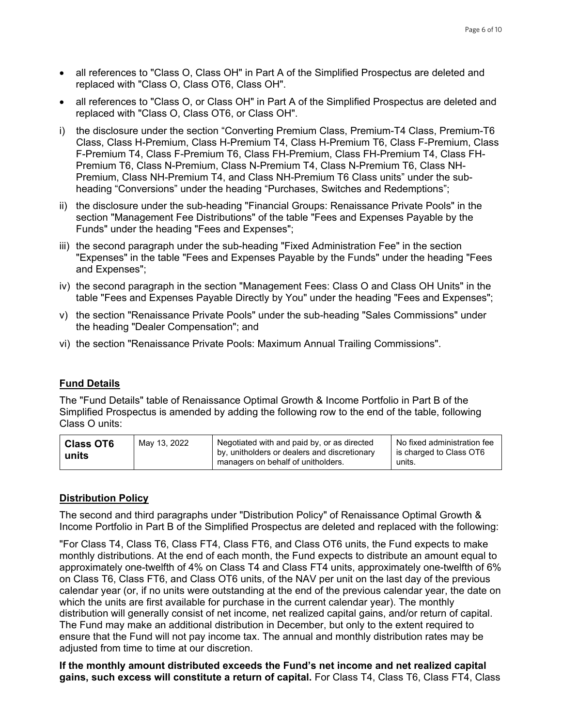- all references to "Class O, Class OH" in Part A of the Simplified Prospectus are deleted and replaced with "Class O, Class OT6, Class OH".
- all references to "Class O, or Class OH" in Part A of the Simplified Prospectus are deleted and replaced with "Class O, Class OT6, or Class OH".
- i) the disclosure under the section "Converting Premium Class, Premium-T4 Class, Premium-T6 Class, Class H-Premium, Class H-Premium T4, Class H-Premium T6, Class F-Premium, Class F-Premium T4, Class F-Premium T6, Class FH-Premium, Class FH-Premium T4, Class FH-Premium T6, Class N-Premium, Class N-Premium T4, Class N-Premium T6, Class NH-Premium, Class NH-Premium T4, and Class NH-Premium T6 Class units" under the subheading "Conversions" under the heading "Purchases, Switches and Redemptions";
- ii) the disclosure under the sub-heading "Financial Groups: Renaissance Private Pools" in the section "Management Fee Distributions" of the table "Fees and Expenses Payable by the Funds" under the heading "Fees and Expenses";
- iii) the second paragraph under the sub-heading "Fixed Administration Fee" in the section "Expenses" in the table "Fees and Expenses Payable by the Funds" under the heading "Fees and Expenses";
- iv) the second paragraph in the section "Management Fees: Class O and Class OH Units" in the table "Fees and Expenses Payable Directly by You" under the heading "Fees and Expenses";
- v) the section "Renaissance Private Pools" under the sub-heading "Sales Commissions" under the heading "Dealer Compensation"; and
- vi) the section "Renaissance Private Pools: Maximum Annual Trailing Commissions".

# **Fund Details**

The "Fund Details" table of Renaissance Optimal Growth & Income Portfolio in Part B of the Simplified Prospectus is amended by adding the following row to the end of the table, following Class O units:

| <b>Class OT6</b><br>units | May 13, 2022 | Negotiated with and paid by, or as directed<br>by, unitholders or dealers and discretionary<br>managers on behalf of unitholders. | No fixed administration fee<br>is charged to Class OT6<br>units. |
|---------------------------|--------------|-----------------------------------------------------------------------------------------------------------------------------------|------------------------------------------------------------------|
|---------------------------|--------------|-----------------------------------------------------------------------------------------------------------------------------------|------------------------------------------------------------------|

# **Distribution Policy**

The second and third paragraphs under "Distribution Policy" of Renaissance Optimal Growth & Income Portfolio in Part B of the Simplified Prospectus are deleted and replaced with the following:

"For Class T4, Class T6, Class FT4, Class FT6, and Class OT6 units, the Fund expects to make monthly distributions. At the end of each month, the Fund expects to distribute an amount equal to approximately one-twelfth of 4% on Class T4 and Class FT4 units, approximately one-twelfth of 6% on Class T6, Class FT6, and Class OT6 units, of the NAV per unit on the last day of the previous calendar year (or, if no units were outstanding at the end of the previous calendar year, the date on which the units are first available for purchase in the current calendar year). The monthly distribution will generally consist of net income, net realized capital gains, and/or return of capital. The Fund may make an additional distribution in December, but only to the extent required to ensure that the Fund will not pay income tax. The annual and monthly distribution rates may be adjusted from time to time at our discretion.

**If the monthly amount distributed exceeds the Fund's net income and net realized capital gains, such excess will constitute a return of capital.** For Class T4, Class T6, Class FT4, Class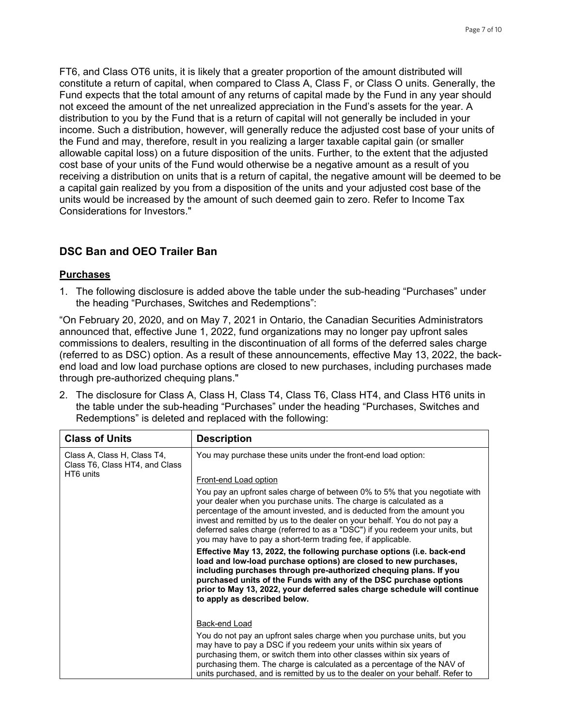FT6, and Class OT6 units, it is likely that a greater proportion of the amount distributed will constitute a return of capital, when compared to Class A, Class F, or Class O units. Generally, the Fund expects that the total amount of any returns of capital made by the Fund in any year should not exceed the amount of the net unrealized appreciation in the Fund's assets for the year. A distribution to you by the Fund that is a return of capital will not generally be included in your income. Such a distribution, however, will generally reduce the adjusted cost base of your units of the Fund and may, therefore, result in you realizing a larger taxable capital gain (or smaller allowable capital loss) on a future disposition of the units. Further, to the extent that the adjusted cost base of your units of the Fund would otherwise be a negative amount as a result of you receiving a distribution on units that is a return of capital, the negative amount will be deemed to be a capital gain realized by you from a disposition of the units and your adjusted cost base of the units would be increased by the amount of such deemed gain to zero. Refer to Income Tax Considerations for Investors."

# **DSC Ban and OEO Trailer Ban**

## **Purchases**

1. The following disclosure is added above the table under the sub-heading "Purchases" under the heading "Purchases, Switches and Redemptions":

"On February 20, 2020, and on May 7, 2021 in Ontario, the Canadian Securities Administrators announced that, effective June 1, 2022, fund organizations may no longer pay upfront sales commissions to dealers, resulting in the discontinuation of all forms of the deferred sales charge (referred to as DSC) option. As a result of these announcements, effective May 13, 2022, the backend load and low load purchase options are closed to new purchases, including purchases made through pre-authorized chequing plans."

2. The disclosure for Class A, Class H, Class T4, Class T6, Class HT4, and Class HT6 units in the table under the sub-heading "Purchases" under the heading "Purchases, Switches and Redemptions" is deleted and replaced with the following:

| <b>Class of Units</b>                                                      | <b>Description</b>                                                                                                                                                                                                                                                                                                                                                                                                                                                                                                                                       |
|----------------------------------------------------------------------------|----------------------------------------------------------------------------------------------------------------------------------------------------------------------------------------------------------------------------------------------------------------------------------------------------------------------------------------------------------------------------------------------------------------------------------------------------------------------------------------------------------------------------------------------------------|
| Class A, Class H, Class T4,<br>Class T6, Class HT4, and Class<br>HT6 units | You may purchase these units under the front-end load option:<br><b>Front-end Load option</b><br>You pay an upfront sales charge of between 0% to 5% that you negotiate with<br>your dealer when you purchase units. The charge is calculated as a<br>percentage of the amount invested, and is deducted from the amount you<br>invest and remitted by us to the dealer on your behalf. You do not pay a<br>deferred sales charge (referred to as a "DSC") if you redeem your units, but<br>you may have to pay a short-term trading fee, if applicable. |
|                                                                            | Effective May 13, 2022, the following purchase options (i.e. back-end<br>load and low-load purchase options) are closed to new purchases,<br>including purchases through pre-authorized chequing plans. If you<br>purchased units of the Funds with any of the DSC purchase options<br>prior to May 13, 2022, your deferred sales charge schedule will continue<br>to apply as described below.                                                                                                                                                          |
|                                                                            | Back-end Load<br>You do not pay an upfront sales charge when you purchase units, but you<br>may have to pay a DSC if you redeem your units within six years of<br>purchasing them, or switch them into other classes within six years of<br>purchasing them. The charge is calculated as a percentage of the NAV of<br>units purchased, and is remitted by us to the dealer on your behalf. Refer to                                                                                                                                                     |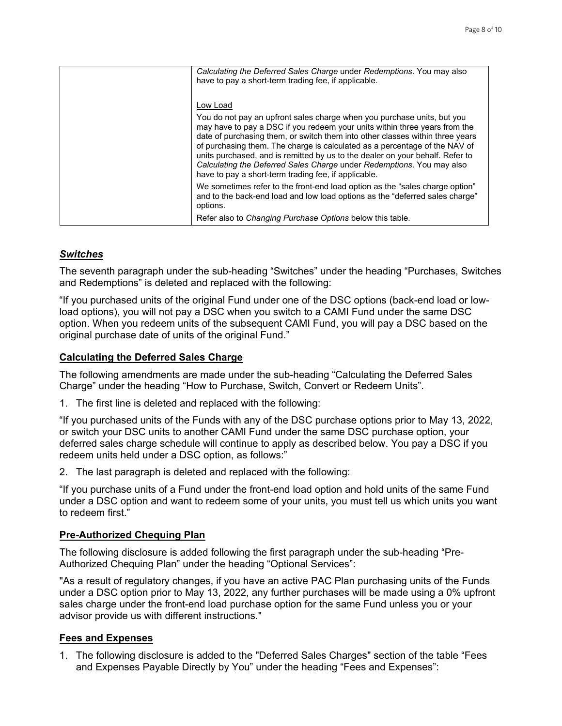| Calculating the Deferred Sales Charge under Redemptions. You may also<br>have to pay a short-term trading fee, if applicable.                                                                                                                                                                                                                                                                                                                                                                                                          |
|----------------------------------------------------------------------------------------------------------------------------------------------------------------------------------------------------------------------------------------------------------------------------------------------------------------------------------------------------------------------------------------------------------------------------------------------------------------------------------------------------------------------------------------|
|                                                                                                                                                                                                                                                                                                                                                                                                                                                                                                                                        |
| Low Load                                                                                                                                                                                                                                                                                                                                                                                                                                                                                                                               |
| You do not pay an upfront sales charge when you purchase units, but you<br>may have to pay a DSC if you redeem your units within three years from the<br>date of purchasing them, or switch them into other classes within three years<br>of purchasing them. The charge is calculated as a percentage of the NAV of<br>units purchased, and is remitted by us to the dealer on your behalf. Refer to<br>Calculating the Deferred Sales Charge under Redemptions. You may also<br>have to pay a short-term trading fee, if applicable. |
| We sometimes refer to the front-end load option as the "sales charge option"<br>and to the back-end load and low load options as the "deferred sales charge"<br>options.                                                                                                                                                                                                                                                                                                                                                               |
| Refer also to Changing Purchase Options below this table.                                                                                                                                                                                                                                                                                                                                                                                                                                                                              |

## *Switches*

The seventh paragraph under the sub-heading "Switches" under the heading "Purchases, Switches and Redemptions" is deleted and replaced with the following:

"If you purchased units of the original Fund under one of the DSC options (back-end load or lowload options), you will not pay a DSC when you switch to a CAMI Fund under the same DSC option. When you redeem units of the subsequent CAMI Fund, you will pay a DSC based on the original purchase date of units of the original Fund."

## **Calculating the Deferred Sales Charge**

The following amendments are made under the sub-heading "Calculating the Deferred Sales Charge" under the heading "How to Purchase, Switch, Convert or Redeem Units".

1. The first line is deleted and replaced with the following:

"If you purchased units of the Funds with any of the DSC purchase options prior to May 13, 2022, or switch your DSC units to another CAMI Fund under the same DSC purchase option, your deferred sales charge schedule will continue to apply as described below. You pay a DSC if you redeem units held under a DSC option, as follows:"

2. The last paragraph is deleted and replaced with the following:

"If you purchase units of a Fund under the front-end load option and hold units of the same Fund under a DSC option and want to redeem some of your units, you must tell us which units you want to redeem first."

# **Pre-Authorized Chequing Plan**

The following disclosure is added following the first paragraph under the sub-heading "Pre-Authorized Chequing Plan" under the heading "Optional Services":

"As a result of regulatory changes, if you have an active PAC Plan purchasing units of the Funds under a DSC option prior to May 13, 2022, any further purchases will be made using a 0% upfront sales charge under the front-end load purchase option for the same Fund unless you or your advisor provide us with different instructions."

# **Fees and Expenses**

1. The following disclosure is added to the "Deferred Sales Charges" section of the table "Fees and Expenses Payable Directly by You" under the heading "Fees and Expenses":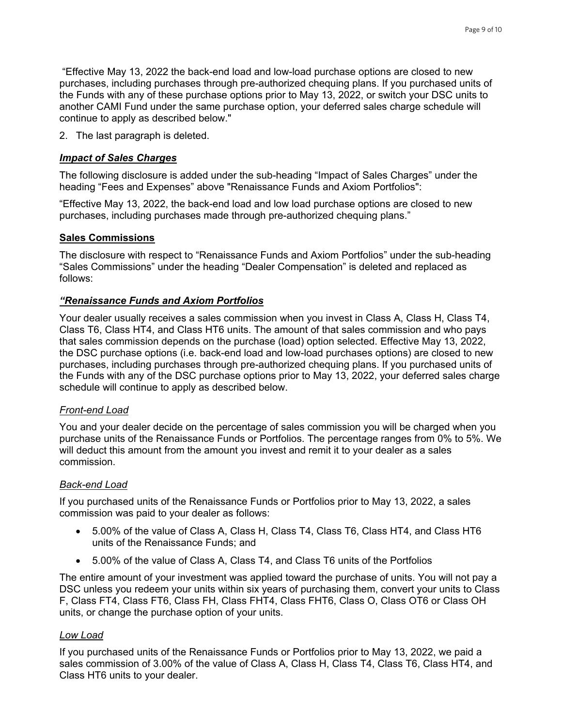"Effective May 13, 2022 the back-end load and low-load purchase options are closed to new purchases, including purchases through pre-authorized chequing plans. If you purchased units of the Funds with any of these purchase options prior to May 13, 2022, or switch your DSC units to another CAMI Fund under the same purchase option, your deferred sales charge schedule will continue to apply as described below."

2. The last paragraph is deleted.

## *Impact of Sales Charges*

The following disclosure is added under the sub-heading "Impact of Sales Charges" under the heading "Fees and Expenses" above "Renaissance Funds and Axiom Portfolios":

"Effective May 13, 2022, the back-end load and low load purchase options are closed to new purchases, including purchases made through pre-authorized chequing plans."

#### **Sales Commissions**

The disclosure with respect to "Renaissance Funds and Axiom Portfolios" under the sub-heading "Sales Commissions" under the heading "Dealer Compensation" is deleted and replaced as follows:

#### *"Renaissance Funds and Axiom Portfolios*

Your dealer usually receives a sales commission when you invest in Class A, Class H, Class T4, Class T6, Class HT4, and Class HT6 units. The amount of that sales commission and who pays that sales commission depends on the purchase (load) option selected. Effective May 13, 2022, the DSC purchase options (i.e. back-end load and low-load purchases options) are closed to new purchases, including purchases through pre-authorized chequing plans. If you purchased units of the Funds with any of the DSC purchase options prior to May 13, 2022, your deferred sales charge schedule will continue to apply as described below.

#### *Front-end Load*

You and your dealer decide on the percentage of sales commission you will be charged when you purchase units of the Renaissance Funds or Portfolios. The percentage ranges from 0% to 5%. We will deduct this amount from the amount you invest and remit it to your dealer as a sales commission.

#### *Back-end Load*

If you purchased units of the Renaissance Funds or Portfolios prior to May 13, 2022, a sales commission was paid to your dealer as follows:

- 5.00% of the value of Class A, Class H, Class T4, Class T6, Class HT4, and Class HT6 units of the Renaissance Funds; and
- 5.00% of the value of Class A, Class T4, and Class T6 units of the Portfolios

The entire amount of your investment was applied toward the purchase of units. You will not pay a DSC unless you redeem your units within six years of purchasing them, convert your units to Class F, Class FT4, Class FT6, Class FH, Class FHT4, Class FHT6, Class O, Class OT6 or Class OH units, or change the purchase option of your units.

#### *Low Load*

If you purchased units of the Renaissance Funds or Portfolios prior to May 13, 2022, we paid a sales commission of 3.00% of the value of Class A, Class H, Class T4, Class T6, Class HT4, and Class HT6 units to your dealer.